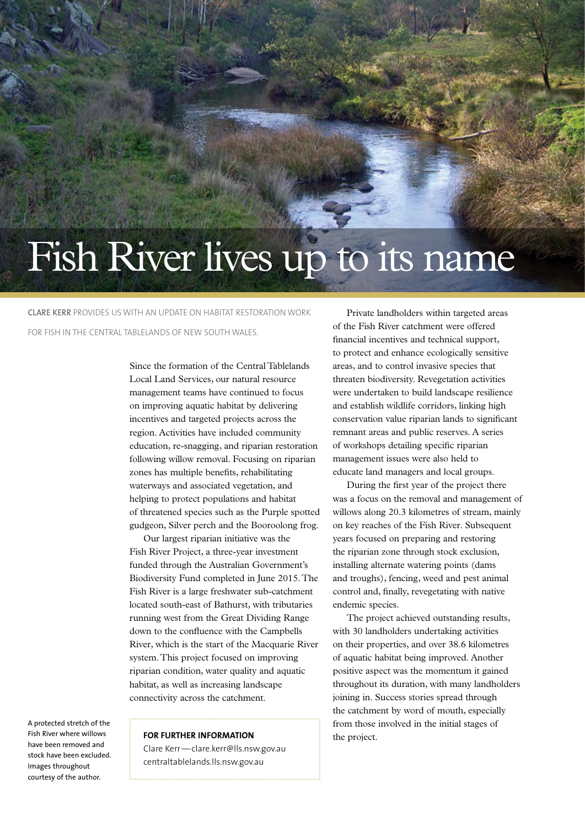## Fish River lives up to its name

**Clare Kerr** provides us with an update on habitat restoration work for fish in the Central Tablelands of New South Wales.

> Since the formation of the Central Tablelands Local Land Services, our natural resource management teams have continued to focus on improving aquatic habitat by delivering incentives and targeted projects across the region. Activities have included community education, re-snagging, and riparian restoration following willow removal. Focusing on riparian zones has multiple benefits, rehabilitating waterways and associated vegetation, and helping to protect populations and habitat of threatened species such as the Purple spotted gudgeon, Silver perch and the Booroolong frog.

Our largest riparian initiative was the Fish River Project, a three-year investment funded through the Australian Government's Biodiversity Fund completed in June 2015. The Fish River is a large freshwater sub-catchment located south-east of Bathurst, with tributaries running west from the Great Dividing Range down to the confluence with the Campbells River, which is the start of the Macquarie River system. This project focused on improving riparian condition, water quality and aquatic habitat, as well as increasing landscape connectivity across the catchment.

A protected stretch of the Fish River where willows have been removed and stock have been excluded. Images throughout courtesy of the author.

## **FOR FURTHER INFORMATION** the project.

Clare Kerr—[clare.kerr@lls.nsw.gov.au](mailto:clare.kerr@lls.nsw.gov.au) centraltablelands.lls.nsw.gov.au

Private landholders within targeted areas of the Fish River catchment were offered financial incentives and technical support, to protect and enhance ecologically sensitive areas, and to control invasive species that threaten biodiversity. Revegetation activities were undertaken to build landscape resilience and establish wildlife corridors, linking high conservation value riparian lands to significant remnant areas and public reserves. A series of workshops detailing specific riparian management issues were also held to educate land managers and local groups.

During the first year of the project there was a focus on the removal and management of willows along 20.3 kilometres of stream, mainly on key reaches of the Fish River. Subsequent years focused on preparing and restoring the riparian zone through stock exclusion, installing alternate watering points (dams and troughs), fencing, weed and pest animal control and, finally, revegetating with native endemic species.

The project achieved outstanding results, with 30 landholders undertaking activities on their properties, and over 38.6 kilometres of aquatic habitat being improved. Another positive aspect was the momentum it gained throughout its duration, with many landholders joining in. Success stories spread through the catchment by word of mouth, especially from those involved in the initial stages of